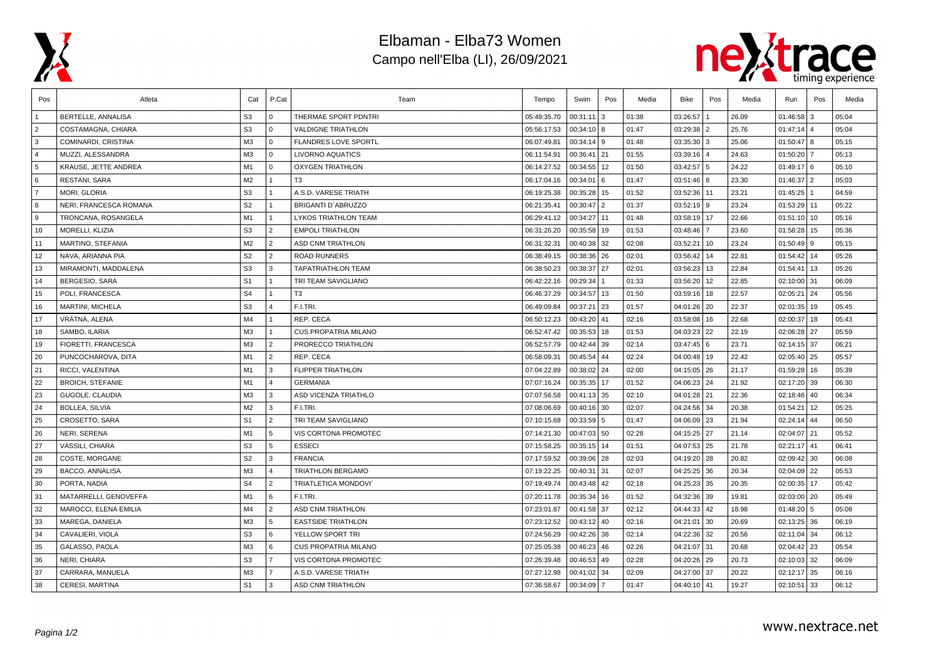

## Elbaman - Elba73 Women Campo nell'Elba (LI), 26/09/2021



| Pos            | Atleta                  | Cat            | P.Cat                   | Team                        | Tempo       | Swim          | Pos | Media | Bike        | Pos          | Media | Run         | Pos            | Media |
|----------------|-------------------------|----------------|-------------------------|-----------------------------|-------------|---------------|-----|-------|-------------|--------------|-------|-------------|----------------|-------|
|                | BERTELLE, ANNALISA      | S <sub>3</sub> | $\overline{0}$          | THERMAE SPORT PDNTRI        | 05:49:35.70 | 00:31:11      | 3   | 01:38 | 03:26:57    |              | 26.09 | 01:46:58    | 3              | 05:04 |
| $\overline{2}$ | COSTAMAGNA, CHIARA      | S <sub>3</sub> | l 0                     | <b>VALDIGNE TRIATHLON</b>   | 05:56:17.53 | 00:34:10 8    |     | 01:47 | 03:29:38 2  |              | 25.76 | 01:47:14    | $\overline{4}$ | 05:04 |
| 3              | COMINARDI, CRISTINA     | M3             | $\overline{0}$          | <b>FLANDRES LOVE SPORTL</b> | 06:07:49.81 | 00:34:14 9    |     | 01:48 | 03:35:30 3  |              | 25.06 | 01:50:47    | 8              | 05:15 |
| $\overline{4}$ | MUZZI, ALESSANDRA       | M3             | $\mathbf{0}$            | <b>LIVORNO AQUATICS</b>     | 06:11:54.91 | 00:36:41      | 21  | 01:55 | 03:39:16 4  |              | 24.63 | 01:50:20    |                | 05:13 |
| 5              | KRAUSE, JETTE ANDREA    | M <sub>1</sub> | $\overline{0}$          | <b>OXYGEN TRIATHLON</b>     | 06:14:27.52 | 00:34:55      | 12  | 01:50 | 03:42:57 5  |              | 24.22 | 01:49:17    | 6              | 05:10 |
| 6              | RESTANI, SARA           | M2             | $\overline{1}$          | T <sub>3</sub>              | 06:17:04.16 | 00:34:01      | 6   | 01:47 | 03:51:46 8  |              | 23.30 | 01:46:37    | l 2            | 05:03 |
| $\overline{7}$ | MORI, GLORIA            | S <sub>3</sub> | $\vert$ 1               | A.S.D. VARESE TRIATH        | 06:19:25.38 | 00:35:28      | 15  | 01:52 | 03:52:36 11 |              | 23.21 | 01:45:25    |                | 04:59 |
| 8              | NERI, FRANCESCA ROMANA  | S <sub>2</sub> | $\overline{1}$          | BRIGANTI D'ABRUZZO          | 06:21:35.41 | 00:30:47      | 2   | 01:37 | 03:52:19 9  |              | 23.24 | 01:53:29    | 11             | 05:22 |
| 9              | TRONCANA, ROSANGELA     | M <sub>1</sub> | $\overline{1}$          | LYKOS TRIATHLON TEAM        | 06:29:41.12 | 00:34:27      | 11  | 01:48 | 03:58:19 17 |              | 22.66 | 01:51:10    | 10             | 05:16 |
| 10             | MORELLI, KLIZIA         | S <sub>3</sub> | $\sqrt{2}$              | <b>EMPOLI TRIATHLON</b>     | 06:31:26.20 | 00:35:58      | 19  | 01:53 | 03:48:46 7  |              | 23.60 | 01:58:28    | 15             | 05:36 |
| 11             | MARTINO, STEFANIA       | M2             | $\overline{2}$          | <b>ASD CNM TRIATHLON</b>    | 06:31:32.31 | 00:40:38      | 32  | 02:08 | 03:52:21    | $ 10\rangle$ | 23.24 | 01:50:49    | l 9            | 05:15 |
| 12             | NAVA, ARIANNA PIA       | S <sub>2</sub> | $\sqrt{2}$              | <b>ROAD RUNNERS</b>         | 06:38:49.15 | 00:38:36      | 26  | 02:01 | 03:56:42 14 |              | 22.81 | 01:54:42    | 14             | 05:26 |
| 13             | MIRAMONTI, MADDALENA    | S <sub>3</sub> | 3                       | <b>TAPATRIATHLON TEAM</b>   | 06:38:50.23 | 00:38:37      | 27  | 02:01 | 03:56:23    | 13           | 22.84 | 01:54:41    | 13             | 05:26 |
| 14             | <b>BERGESIO, SARA</b>   | S <sub>1</sub> | $\overline{1}$          | TRI TEAM SAVIGLIANO         | 06:42:22.16 | 00:29:34      |     | 01:33 | 03:56:20    | 12           | 22.85 | 02:10:00    | 31             | 06:09 |
| 15             | POLI, FRANCESCA         | S <sub>4</sub> | $\vert$ 1               | T <sub>3</sub>              | 06:46:37.29 | 00:34:57      | 13  | 01:50 | 03:59:16 18 |              | 22.57 | 02:05:21    | 24             | 05:56 |
| 16             | MARTINI, MICHELA        | S <sub>3</sub> | $\overline{4}$          | F.I.TRI.                    | 06:49:09.84 | 00:37:21      | 23  | 01:57 | 04:01:26 20 |              | 22.37 | 02:01:35    | 19             | 05:45 |
| 17             | VRÁTNÁ, ALENA           | M4             | $\overline{1}$          | REP. CECA                   | 06:50:12.23 | 00:43:20      | 41  | 02:16 | 03:58:08 16 |              | 22.68 | 02:00:37    | 18             | 05:43 |
| 18             | SAMBO, ILARIA           | M3             |                         | <b>CUS PROPATRIA MILANO</b> | 06:52:47.42 | 00:35:53      | 18  | 01:53 | 04:03:23 22 |              | 22.19 | 02:06:28    | 27             | 05:59 |
| 19             | FIORETTI, FRANCESCA     | M3             | $\sqrt{2}$              | PRORECCO TRIATHLON          | 06:52:57.79 | 00:42:44      | 39  | 02:14 | 03:47:45 6  |              | 23.71 | 02:14:15    | 37             | 06:21 |
| 20             | PUNCOCHAROVA, DITA      | M <sub>1</sub> | $\overline{2}$          | REP. CECA                   | 06:58:09.31 | 00:45:54      | 44  | 02:24 | 04:00:48 19 |              | 22.42 | 02:05:40 25 |                | 05:57 |
| 21             | RICCI, VALENTINA        | M <sub>1</sub> | l 3                     | <b>FLIPPER TRIATHLON</b>    | 07:04:22.89 | 00:38:02      | 24  | 02:00 | 04:15:05 26 |              | 21.17 | 01:59:28    | 16             | 05:39 |
| 22             | <b>BROICH, STEFANIE</b> | M1             | $\overline{4}$          | <b>GERMANIA</b>             | 07:07:16.24 | 00:35:35      | 17  | 01:52 | 04:06:23 24 |              | 21.92 | 02:17:20    | 39             | 06:30 |
| 23             | GUGOLE, CLAUDIA         | M3             | $\overline{\mathbf{3}}$ | ASD VICENZA TRIATHLO        | 07:07:56.58 | 00:41:13      | 35  | 02:10 | 04:01:28 21 |              | 22.36 | 02:18:46    | 40             | 06:34 |
| 24             | <b>BOLLEA, SILVIA</b>   | M2             | 3                       | F.I.TRI.                    | 07:08:06.69 | $00:40:16$ 30 |     | 02:07 | 04:24:56 34 |              | 20.38 | 01:54:21    | 12             | 05:25 |
| 25             | CROSETTO, SARA          | S <sub>1</sub> | $\overline{2}$          | TRI TEAM SAVIGLIANO         | 07:10:15.68 | 00:33:59 5    |     | 01:47 | 04:06:09 23 |              | 21.94 | 02:24:14    | 44             | 06:50 |
| 26             | NERI, SERENA            | M <sub>1</sub> | 5                       | VIS CORTONA PROMOTEC        | 07:14:21.30 | 00:47:03 50   |     | 02:28 | 04:15:25 27 |              | 21.14 | 02:04:07    | 21             | 05:52 |
| 27             | VASSILI, CHIARA         | S <sub>3</sub> | 5                       | <b>ESSECI</b>               | 07:15:58.25 | 00:35:15      | 14  | 01:51 | 04:07:53 25 |              | 21.78 | 02:21:17    | 41             | 06:41 |
| 28             | COSTE, MORGANE          | S <sub>2</sub> | l 3                     | <b>FRANCIA</b>              | 07:17:59.52 | 00:39:06      | 28  | 02:03 | 04:19:20 28 |              | 20.82 | 02:09:42    | 30             | 06:08 |
| 29             | BACCO, ANNALISA         | M3             | $\overline{4}$          | <b>TRIATHLON BERGAMO</b>    | 07:19:22.25 | 00:40:31      | 31  | 02:07 | 04:25:25 36 |              | 20.34 | 02:04:09 22 |                | 05:53 |
| 30             | PORTA, NADIA            | S <sub>4</sub> | $\sqrt{2}$              | TRIATLETICA MONDOVI'        | 07:19:49.74 | 00:43:48      | 42  | 02:18 | 04:25:23 35 |              | 20.35 | 02:00:35    | 17             | 05:42 |
| 31             | MATARRELLI, GENOVEFFA   | M <sub>1</sub> | l 6                     | F.I.TRI.                    | 07:20:11.78 | 00:35:34      | 16  | 01:52 | 04:32:36 39 |              | 19.81 | 02:03:00    | 20             | 05:49 |
| 32             | MAROCCI, ELENA EMILIA   | M4             | $\overline{2}$          | <b>ASD CNM TRIATHLON</b>    | 07:23:01.87 | 00:41:58      | 37  | 02:12 | 04:44:33 42 |              | 18.98 | 01:48:20    | 5              | 05:08 |
| 33             | MAREGA, DANIELA         | M3             | 5                       | <b>EASTSIDE TRIATHLON</b>   | 07:23:12.52 | 00:43:12      | 40  | 02:16 | 04:21:01    | 30           | 20.69 | 02:13:25    | 36             | 06:19 |
| 34             | CAVALIERI, VIOLA        | S <sub>3</sub> | l 6                     | YELLOW SPORT TRI            | 07:24:56.29 | 00:42:26      | 38  | 02:14 | 04:22:36 32 |              | 20.56 | 02:11:04    | 34             | 06:12 |
| 35             | GALASSO, PAOLA          | M3             | <b>6</b>                | <b>CUS PROPATRIA MILANO</b> | 07:25:05.38 | 00:46:23      | 46  | 02:26 | 04:21:07 31 |              | 20.68 | 02:04:42    | 23             | 05:54 |
| 36             | NERI, CHIARA            | S <sub>3</sub> | $\overline{7}$          | VIS CORTONA PROMOTEC        | 07:26:39.48 | 00:46:53      | 49  | 02:28 | 04:20:26 29 |              | 20.73 | 02:10:03    | 32             | 06:09 |
| 37             | CARRARA, MANUELA        | M3             | $\overline{7}$          | A.S.D. VARESE TRIATH        | 07:27:12.98 | 00:41:02      | 34  | 02:09 | 04:27:00 37 |              | 20.22 | 02:12:17    | 35             | 06:16 |
| 38             | CERESI, MARTINA         | S <sub>1</sub> | l 3                     | ASD CNM TRIATHLON           | 07:36:58.67 | 00:34:09      | -7  | 01:47 | 04:40:10 41 |              | 19.27 | 02:10:51    | 33             | 06:12 |